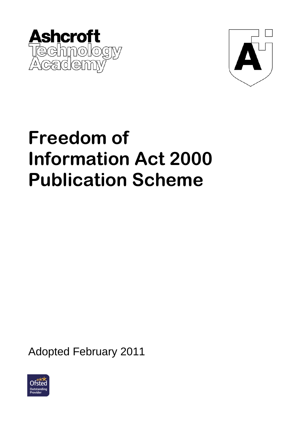



# **Freedom of Information Act 2000 Publication Scheme**

Adopted February 2011

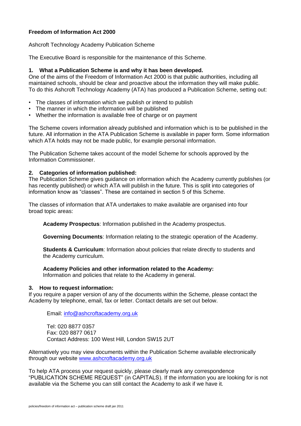# **Freedom of Information Act 2000**

### Ashcroft Technology Academy Publication Scheme

The Executive Board is responsible for the maintenance of this Scheme.

### **1. What a Publication Scheme is and why it has been developed.**

One of the aims of the Freedom of Information Act 2000 is that public authorities, including all maintained schools, should be clear and proactive about the information they will make public. To do this Ashcroft Technology Academy (ATA) has produced a Publication Scheme, setting out:

- The classes of information which we publish or intend to publish
- The manner in which the information will be published
- Whether the information is available free of charge or on payment

The Scheme covers information already published and information which is to be published in the future. All information in the ATA Publication Scheme is available in paper form. Some information which ATA holds may not be made public, for example personal information.

The Publication Scheme takes account of the model Scheme for schools approved by the Information Commissioner.

### **2. Categories of information published:**

The Publication Scheme gives guidance on information which the Academy currently publishes (or has recently published) or which ATA will publish in the future. This is split into categories of information know as "classes". These are contained in section 5 of this Scheme.

The classes of information that ATA undertakes to make available are organised into four broad topic areas:

**Academy Prospectus**: Information published in the Academy prospectus.

**Governing Documents**: Information relating to the strategic operation of the Academy.

**Students & Curriculum**: Information about policies that relate directly to students and the Academy curriculum.

#### **Academy Policies and other information related to the Academy:**

Information and policies that relate to the Academy in general.

#### **3. How to request information:**

If you require a paper version of any of the documents within the Scheme, please contact the Academy by telephone, email, fax or letter. Contact details are set out below.

Email: [info@ashcroftacademy.org.uk](mailto:info@ashcroftacademy.org.uk)

Tel: 020 8877 0357 Fax: 020 8877 0617 Contact Address: 100 West Hill, London SW15 2UT

Alternatively you may view documents within the Publication Scheme available electronically through our website [www.ashcroftacademy.org.uk](http://www.ashcroftacademy.org.uk/)

To help ATA process your request quickly, please clearly mark any correspondence "PUBLICATION SCHEME REQUEST" (in CAPITALS). If the information you are looking for is not available via the Scheme you can still contact the Academy to ask if we have it.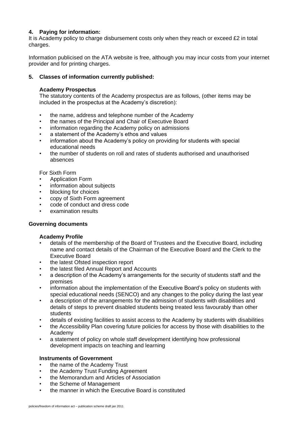# **4. Paying for information:**

It is Academy policy to charge disbursement costs only when they reach or exceed £2 in total charges.

Information publicised on the ATA website is free, although you may incur costs from your internet provider and for printing charges.

# **5. Classes of information currently published:**

# **Academy Prospectus**

The statutory contents of the Academy prospectus are as follows, (other items may be included in the prospectus at the Academy's discretion):

- the name, address and telephone number of the Academy
- the names of the Principal and Chair of Executive Board
- information regarding the Academy policy on admissions
- a statement of the Academy's ethos and values
- information about the Academy's policy on providing for students with special educational needs
- the number of students on roll and rates of students authorised and unauthorised absences

For Sixth Form

- Application Form
- information about subjects
- blocking for choices
- copy of Sixth Form agreement
- code of conduct and dress code
- examination results

# **Governing documents**

# **Academy Profile**

- details of the membership of the Board of Trustees and the Executive Board, including name and contact details of the Chairman of the Executive Board and the Clerk to the Executive Board
- the latest Ofsted inspection report
- the latest filed Annual Report and Accounts
- a description of the Academy's arrangements for the security of students staff and the premises
- information about the implementation of the Executive Board's policy on students with special educational needs (SENCO) and any changes to the policy during the last year
- a description of the arrangements for the admission of students with disabilities and details of steps to prevent disabled students being treated less favourably than other students
- details of existing facilities to assist access to the Academy by students with disabilities
- the Accessibility Plan covering future policies for access by those with disabilities to the Academy
- a statement of policy on whole staff development identifying how professional development impacts on teaching and learning

# **Instruments of Government**

- the name of the Academy Trust
- the Academy Trust Funding Agreement
- the Memorandum and Articles of Association
- the Scheme of Management
- the manner in which the Executive Board is constituted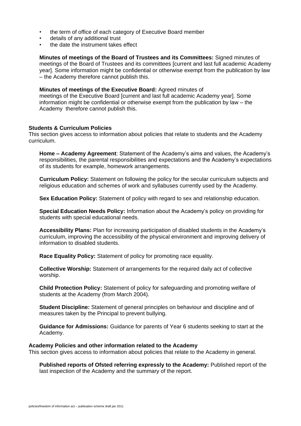- the term of office of each category of Executive Board member
- details of any additional trust
- the date the instrument takes effect

**Minutes of meetings of the Board of Trustees and its Committees:** Signed minutes of meetings of the Board of Trustees and its committees [current and last full academic Academy year]. Some information might be confidential or otherwise exempt from the publication by law – the Academy therefore cannot publish this.

#### **Minutes of meetings of the Executive Board:** Agreed minutes of

meetings of the Executive Board [current and last full academic Academy year]. Some information might be confidential or otherwise exempt from the publication by law – the Academy therefore cannot publish this.

### **Students & Curriculum Policies**

This section gives access to information about policies that relate to students and the Academy curriculum.

**Home – Academy Agreement**: Statement of the Academy's aims and values, the Academy's responsibilities, the parental responsibilities and expectations and the Academy's expectations of its students for example, homework arrangements.

**Curriculum Policy:** Statement on following the policy for the secular curriculum subjects and religious education and schemes of work and syllabuses currently used by the Academy.

**Sex Education Policy:** Statement of policy with regard to sex and relationship education.

**Special Education Needs Policy:** Information about the Academy's policy on providing for students with special educational needs.

**Accessibility Plans:** Plan for increasing participation of disabled students in the Academy's curriculum, improving the accessibility of the physical environment and improving delivery of information to disabled students.

**Race Equality Policy:** Statement of policy for promoting race equality.

**Collective Worship:** Statement of arrangements for the required daily act of collective worship.

**Child Protection Policy:** Statement of policy for safeguarding and promoting welfare of students at the Academy (from March 2004).

**Student Discipline:** Statement of general principles on behaviour and discipline and of measures taken by the Principal to prevent bullying.

**Guidance for Admissions:** Guidance for parents of Year 6 students seeking to start at the Academy.

#### **Academy Policies and other information related to the Academy**

This section gives access to information about policies that relate to the Academy in general.

**Published reports of Ofsted referring expressly to the Academy:** Published report of the last inspection of the Academy and the summary of the report.